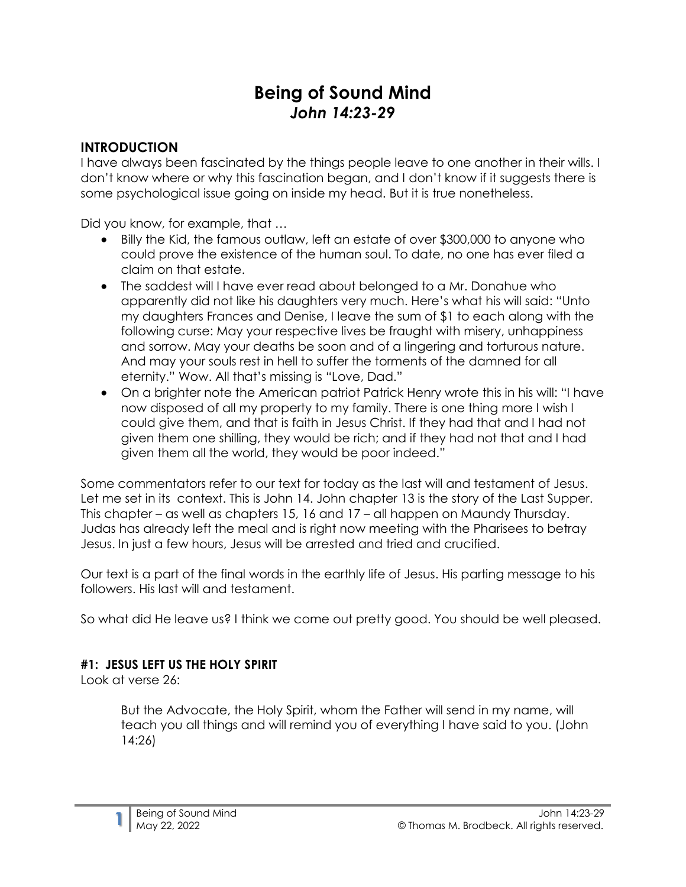# **Being of Sound Mind** *John 14:23-29*

## **INTRODUCTION**

I have always been fascinated by the things people leave to one another in their wills. I don't know where or why this fascination began, and I don't know if it suggests there is some psychological issue going on inside my head. But it is true nonetheless.

Did you know, for example, that …

- Billy the Kid, the famous outlaw, left an estate of over \$300,000 to anyone who could prove the existence of the human soul. To date, no one has ever filed a claim on that estate.
- The saddest will I have ever read about belonged to a Mr. Donahue who apparently did not like his daughters very much. Here's what his will said: "Unto my daughters Frances and Denise, I leave the sum of \$1 to each along with the following curse: May your respective lives be fraught with misery, unhappiness and sorrow. May your deaths be soon and of a lingering and torturous nature. And may your souls rest in hell to suffer the torments of the damned for all eternity." Wow. All that's missing is "Love, Dad."
- On a brighter note the American patriot Patrick Henry wrote this in his will: "I have now disposed of all my property to my family. There is one thing more I wish I could give them, and that is faith in Jesus Christ. If they had that and I had not given them one shilling, they would be rich; and if they had not that and I had given them all the world, they would be poor indeed."

Some commentators refer to our text for today as the last will and testament of Jesus. Let me set in its context. This is John 14. John chapter 13 is the story of the Last Supper. This chapter – as well as chapters 15, 16 and 17 – all happen on Maundy Thursday. Judas has already left the meal and is right now meeting with the Pharisees to betray Jesus. In just a few hours, Jesus will be arrested and tried and crucified.

Our text is a part of the final words in the earthly life of Jesus. His parting message to his followers. His last will and testament.

So what did He leave us? I think we come out pretty good. You should be well pleased.

### **#1: JESUS LEFT US THE HOLY SPIRIT**

Look at verse 26:

But the Advocate, the Holy Spirit, whom the Father will send in my name, will teach you all things and will remind you of everything I have said to you. (John 14:26)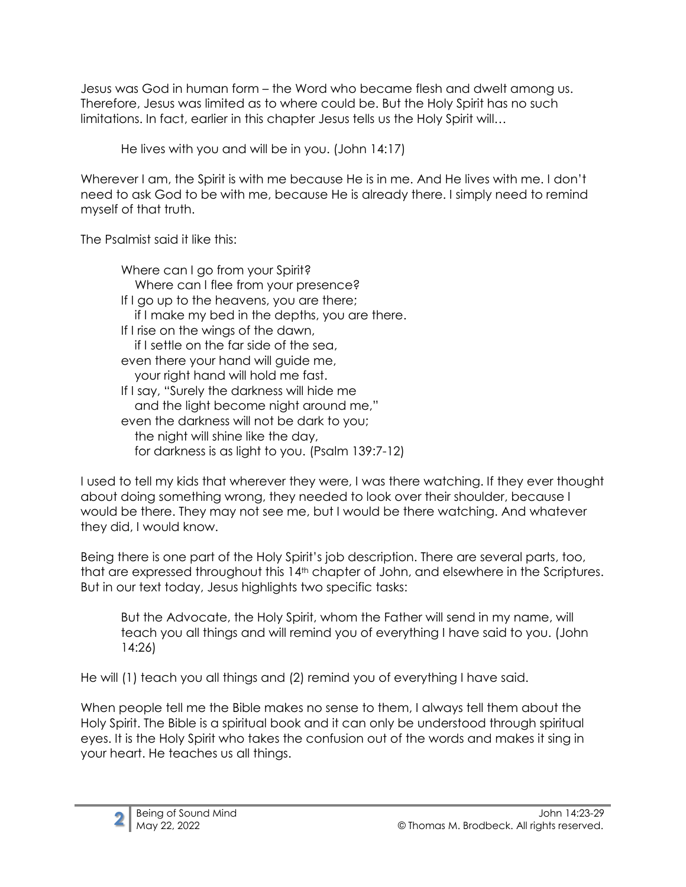Jesus was God in human form – the Word who became flesh and dwelt among us. Therefore, Jesus was limited as to where could be. But the Holy Spirit has no such limitations. In fact, earlier in this chapter Jesus tells us the Holy Spirit will…

He lives with you and will be in you. (John 14:17)

Wherever I am, the Spirit is with me because He is in me. And He lives with me. I don't need to ask God to be with me, because He is already there. I simply need to remind myself of that truth.

The Psalmist said it like this:

| Where can I go from your Spirit?                  |  |
|---------------------------------------------------|--|
| Where can I flee from your presence?              |  |
| If I go up to the heavens, you are there;         |  |
| if I make my bed in the depths, you are there.    |  |
| If I rise on the wings of the dawn,               |  |
| if I settle on the far side of the sea,           |  |
| even there your hand will guide me,               |  |
| your right hand will hold me fast.                |  |
| If I say, "Surely the darkness will hide me       |  |
| and the light become night around me,"            |  |
| even the darkness will not be dark to you;        |  |
| the night will shine like the day,                |  |
| for darkness is as light to you. (Psalm 139:7-12) |  |

I used to tell my kids that wherever they were, I was there watching. If they ever thought about doing something wrong, they needed to look over their shoulder, because I would be there. They may not see me, but I would be there watching. And whatever they did, I would know.

Being there is one part of the Holy Spirit's job description. There are several parts, too, that are expressed throughout this 14<sup>th</sup> chapter of John, and elsewhere in the Scriptures. But in our text today, Jesus highlights two specific tasks:

But the Advocate, the Holy Spirit, whom the Father will send in my name, will teach you all things and will remind you of everything I have said to you. (John 14:26)

He will (1) teach you all things and (2) remind you of everything I have said.

When people tell me the Bible makes no sense to them, I always tell them about the Holy Spirit. The Bible is a spiritual book and it can only be understood through spiritual eyes. It is the Holy Spirit who takes the confusion out of the words and makes it sing in your heart. He teaches us all things.

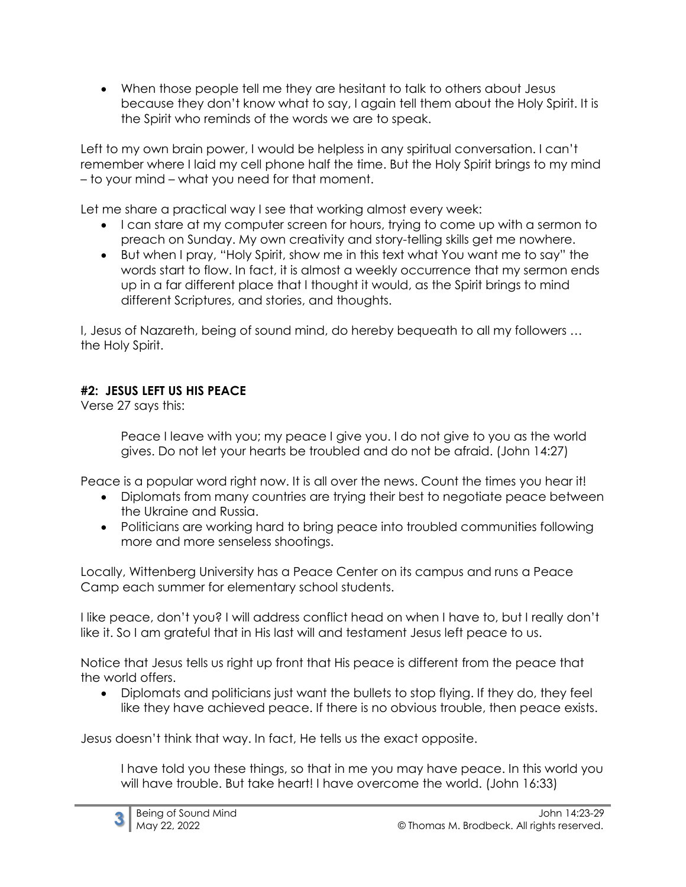When those people tell me they are hesitant to talk to others about Jesus because they don't know what to say, I again tell them about the Holy Spirit. It is the Spirit who reminds of the words we are to speak.

Left to my own brain power, I would be helpless in any spiritual conversation. I can't remember where I laid my cell phone half the time. But the Holy Spirit brings to my mind – to your mind – what you need for that moment.

Let me share a practical way I see that working almost every week:

- I can stare at my computer screen for hours, trying to come up with a sermon to preach on Sunday. My own creativity and story-telling skills get me nowhere.
- But when I pray, "Holy Spirit, show me in this text what You want me to say" the words start to flow. In fact, it is almost a weekly occurrence that my sermon ends up in a far different place that I thought it would, as the Spirit brings to mind different Scriptures, and stories, and thoughts.

I, Jesus of Nazareth, being of sound mind, do hereby bequeath to all my followers … the Holy Spirit.

# **#2: JESUS LEFT US HIS PEACE**

Verse 27 says this:

Peace I leave with you; my peace I give you. I do not give to you as the world gives. Do not let your hearts be troubled and do not be afraid. (John 14:27)

Peace is a popular word right now. It is all over the news. Count the times you hear it!

- Diplomats from many countries are trying their best to negotiate peace between the Ukraine and Russia.
- Politicians are working hard to bring peace into troubled communities following more and more senseless shootings.

Locally, Wittenberg University has a Peace Center on its campus and runs a Peace Camp each summer for elementary school students.

I like peace, don't you? I will address conflict head on when I have to, but I really don't like it. So I am grateful that in His last will and testament Jesus left peace to us.

Notice that Jesus tells us right up front that His peace is different from the peace that the world offers.

 Diplomats and politicians just want the bullets to stop flying. If they do, they feel like they have achieved peace. If there is no obvious trouble, then peace exists.

Jesus doesn't think that way. In fact, He tells us the exact opposite.

I have told you these things, so that in me you may have peace. In this world you will have trouble. But take heart! I have overcome the world. (John 16:33)

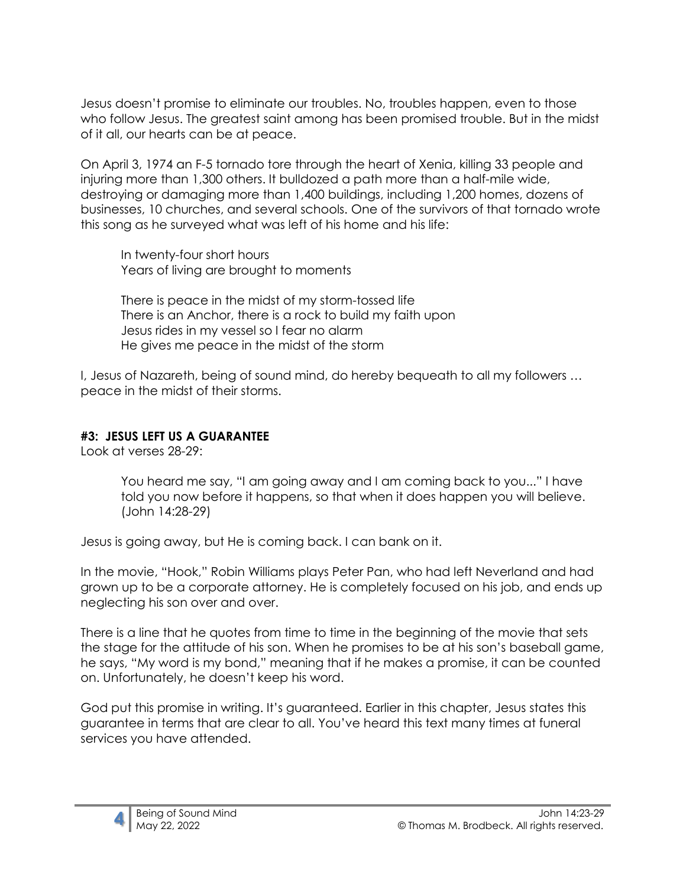Jesus doesn't promise to eliminate our troubles. No, troubles happen, even to those who follow Jesus. The greatest saint among has been promised trouble. But in the midst of it all, our hearts can be at peace.

On April 3, 1974 an F-5 tornado tore through the heart of Xenia, killing 33 people and injuring more than 1,300 others. It bulldozed a path more than a half-mile wide, destroying or damaging more than 1,400 buildings, including 1,200 homes, dozens of businesses, 10 churches, and several schools. One of the survivors of that tornado wrote this song as he surveyed what was left of his home and his life:

In twenty-four short hours Years of living are brought to moments

There is peace in the midst of my storm-tossed life There is an Anchor, there is a rock to build my faith upon Jesus rides in my vessel so I fear no alarm He gives me peace in the midst of the storm

I, Jesus of Nazareth, being of sound mind, do hereby bequeath to all my followers … peace in the midst of their storms.

#### **#3: JESUS LEFT US A GUARANTEE**

Look at verses 28-29:

You heard me say, "I am going away and I am coming back to you..." I have told you now before it happens, so that when it does happen you will believe. (John 14:28-29)

Jesus is going away, but He is coming back. I can bank on it.

In the movie, "Hook," Robin Williams plays Peter Pan, who had left Neverland and had grown up to be a corporate attorney. He is completely focused on his job, and ends up neglecting his son over and over.

There is a line that he quotes from time to time in the beginning of the movie that sets the stage for the attitude of his son. When he promises to be at his son's baseball game, he says, "My word is my bond," meaning that if he makes a promise, it can be counted on. Unfortunately, he doesn't keep his word.

God put this promise in writing. It's guaranteed. Earlier in this chapter, Jesus states this guarantee in terms that are clear to all. You've heard this text many times at funeral services you have attended.